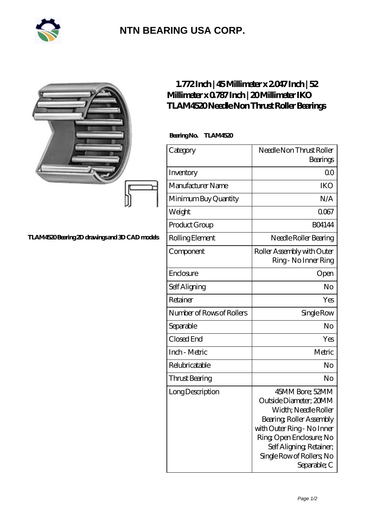

## **[NTN BEARING USA CORP.](https://m.2rw-antriebselemente.de)**

|                                               | $1.772$ Inch   45Millimeter x 2047 Inch   52<br>Millimeter x 0787 Inch   20 Millimeter IKO<br>TLAM4520Needle Non Thrust Roller Bearings<br>BearingNo.<br>TLAM4520 |                                                                                                                                                                                                                                 |
|-----------------------------------------------|-------------------------------------------------------------------------------------------------------------------------------------------------------------------|---------------------------------------------------------------------------------------------------------------------------------------------------------------------------------------------------------------------------------|
|                                               |                                                                                                                                                                   |                                                                                                                                                                                                                                 |
|                                               | Category                                                                                                                                                          | Needle Non Thrust Roller<br>Bearings                                                                                                                                                                                            |
|                                               | Inventory                                                                                                                                                         | 0 <sup>0</sup>                                                                                                                                                                                                                  |
|                                               | Manufacturer Name                                                                                                                                                 | <b>IKO</b>                                                                                                                                                                                                                      |
|                                               | Minimum Buy Quantity                                                                                                                                              | N/A                                                                                                                                                                                                                             |
|                                               | Weight                                                                                                                                                            | 0067                                                                                                                                                                                                                            |
|                                               | Product Group                                                                                                                                                     | <b>BO4144</b>                                                                                                                                                                                                                   |
| TLAM4520Bearing 2D drawings and 3D CAD models | Rolling Element                                                                                                                                                   | Needle Roller Bearing                                                                                                                                                                                                           |
|                                               | Component                                                                                                                                                         | Roller Assembly with Outer<br>Ring - No Inner Ring                                                                                                                                                                              |
|                                               | Enclosure                                                                                                                                                         | Open                                                                                                                                                                                                                            |
|                                               | Self Aligning                                                                                                                                                     | No                                                                                                                                                                                                                              |
|                                               | Retainer                                                                                                                                                          | Yes                                                                                                                                                                                                                             |
|                                               | Number of Rows of Rollers                                                                                                                                         | Single Row                                                                                                                                                                                                                      |
|                                               | Separable                                                                                                                                                         | N <sub>o</sub>                                                                                                                                                                                                                  |
|                                               | Closed End                                                                                                                                                        | Yes                                                                                                                                                                                                                             |
|                                               | Inch - Metric                                                                                                                                                     | Metric                                                                                                                                                                                                                          |
|                                               | Relubricatable                                                                                                                                                    | No                                                                                                                                                                                                                              |
|                                               | <b>Thrust Bearing</b>                                                                                                                                             | No                                                                                                                                                                                                                              |
|                                               | LongDescription                                                                                                                                                   | 45MM Bore; 52MM<br>Outside Diameter; 20MM<br>Width; Needle Roller<br>Bearing, Roller Assembly<br>with Outer Ring - No Inner<br>Ring Open Enclosure; No<br>Self Aligning, Retainer,<br>Single Row of Rollers, No<br>Separable; C |